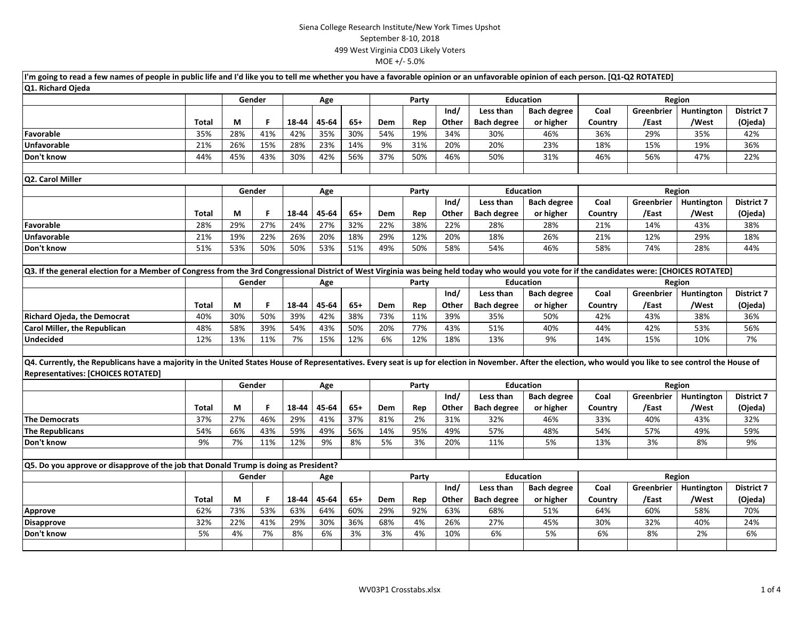| I'm going to read a few names of people in public life and I'd like you to tell me whether you have a favorable opinion or an unfavorable opinion of each person. [Q1-Q2 ROTATED]                                                                        |              |               |               |       |       |       |                  |                                 |                  |                                  |                    |         |                   |            |                   |
|----------------------------------------------------------------------------------------------------------------------------------------------------------------------------------------------------------------------------------------------------------|--------------|---------------|---------------|-------|-------|-------|------------------|---------------------------------|------------------|----------------------------------|--------------------|---------|-------------------|------------|-------------------|
| Q1. Richard Ojeda                                                                                                                                                                                                                                        |              |               |               |       |       |       |                  |                                 |                  |                                  |                    |         |                   |            |                   |
|                                                                                                                                                                                                                                                          |              |               | Gender        |       | Age   |       |                  | Party                           |                  | <b>Education</b>                 |                    | Region  |                   |            |                   |
|                                                                                                                                                                                                                                                          |              |               |               |       |       |       |                  |                                 | Ind/             | Less than                        | <b>Bach degree</b> | Coal    | Greenbrier        | Huntington | <b>District 7</b> |
|                                                                                                                                                                                                                                                          | <b>Total</b> | M             | F             | 18-44 | 45-64 | $65+$ | Dem              | Rep                             | Other            | <b>Bach degree</b>               | or higher          | Country | /East             | /West      | (Ojeda)           |
| Favorable                                                                                                                                                                                                                                                | 35%          | 28%           | 41%           | 42%   | 35%   | 30%   | 54%              | 19%                             | 34%              | 30%                              | 46%                | 36%     | 29%               | 35%        | 42%               |
| <b>Unfavorable</b>                                                                                                                                                                                                                                       | 21%          | 26%           | 15%           | 28%   | 23%   | 14%   | 9%               | 31%                             | 20%              | 20%                              | 23%                | 18%     | 15%               | 19%        | 36%               |
| Don't know                                                                                                                                                                                                                                               | 44%          | 45%           | 43%           | 30%   | 42%   | 56%   | 37%              | 50%                             | 46%              | 50%                              | 31%                | 46%     | 56%               | 47%        | 22%               |
| Q2. Carol Miller                                                                                                                                                                                                                                         |              |               |               |       |       |       |                  |                                 |                  |                                  |                    |         |                   |            |                   |
|                                                                                                                                                                                                                                                          |              | Gender<br>Age |               |       | Party |       |                  | <b>Education</b>                |                  |                                  |                    | Region  |                   |            |                   |
|                                                                                                                                                                                                                                                          |              |               |               |       |       | Ind/  |                  | Less than<br><b>Bach degree</b> |                  | Coal<br>Greenbrier<br>Huntington |                    |         | <b>District 7</b> |            |                   |
|                                                                                                                                                                                                                                                          | Total        | M             | F             | 18-44 | 45-64 | $65+$ | Dem              | Rep                             | Other            | <b>Bach degree</b>               | or higher          | Country | /East             | /West      | (Ojeda)           |
| Favorable                                                                                                                                                                                                                                                | 28%          | 29%           | 27%           | 24%   | 27%   | 32%   | 22%              | 38%                             | 22%              | 28%                              | 28%                | 21%     | 14%               | 43%        | 38%               |
| <b>Unfavorable</b>                                                                                                                                                                                                                                       | 21%          | 19%           | 22%           | 26%   | 20%   | 18%   | 29%              | 12%                             | 20%              | 18%                              | 26%                | 21%     | 12%               | 29%        | 18%               |
| Don't know                                                                                                                                                                                                                                               | 51%          | 53%           | 50%           | 50%   | 53%   | 51%   | 49%              | 50%                             | 58%              | 54%                              | 46%                | 58%     | 74%               | 28%        | 44%               |
|                                                                                                                                                                                                                                                          |              |               |               |       |       |       |                  |                                 |                  |                                  |                    |         |                   |            |                   |
| Q3. If the general election for a Member of Congress from the 3rd Congressional District of West Virginia was being held today who would you vote for if the candidates were: [CHOICES ROTATED]                                                          |              |               |               |       |       |       |                  |                                 |                  |                                  |                    |         |                   |            |                   |
|                                                                                                                                                                                                                                                          |              |               | Gender<br>Age |       | Party |       | <b>Education</b> |                                 | Region           |                                  |                    |         |                   |            |                   |
|                                                                                                                                                                                                                                                          |              |               |               |       |       |       |                  |                                 | Ind/             | Less than                        | <b>Bach degree</b> | Coal    | Greenbrier        | Huntington | <b>District 7</b> |
|                                                                                                                                                                                                                                                          | Total        | М             | F             | 18-44 | 45-64 | $65+$ | Dem              | Rep                             | Other            | <b>Bach degree</b>               | or higher          | Country | /East             | /West      | (Ojeda)           |
| <b>Richard Ojeda, the Democrat</b>                                                                                                                                                                                                                       | 40%          | 30%           | 50%           | 39%   | 42%   | 38%   | 73%              | 11%                             | 39%              | 35%                              | 50%                | 42%     | 43%               | 38%        | 36%               |
| Carol Miller, the Republican                                                                                                                                                                                                                             | 48%          | 58%           | 39%           | 54%   | 43%   | 50%   | 20%              | 77%                             | 43%              | 51%                              | 40%                | 44%     | 42%               | 53%        | 56%               |
| <b>Undecided</b>                                                                                                                                                                                                                                         | 12%          | 13%           | 11%           | 7%    | 15%   | 12%   | 6%               | 12%                             | 18%              | 13%                              | 9%                 | 14%     | 15%               | 10%        | 7%                |
|                                                                                                                                                                                                                                                          |              |               |               |       |       |       |                  |                                 |                  |                                  |                    |         |                   |            |                   |
| Q4. Currently, the Republicans have a majority in the United States House of Representatives. Every seat is up for election in November. After the election, who would you like to see control the House of<br><b>Representatives: [CHOICES ROTATED]</b> |              |               |               |       |       |       |                  |                                 |                  |                                  |                    |         |                   |            |                   |
|                                                                                                                                                                                                                                                          |              |               | Gender        | Age   |       |       | Party            |                                 |                  | <b>Education</b>                 |                    | Region  |                   |            |                   |
|                                                                                                                                                                                                                                                          |              |               |               |       |       |       |                  |                                 | Ind/             | Less than                        | <b>Bach degree</b> | Coal    | Greenbrier        | Huntington | <b>District 7</b> |
|                                                                                                                                                                                                                                                          | Total        | М             | F             | 18-44 | 45-64 | $65+$ | Dem              | Rep                             | Other            | <b>Bach degree</b>               | or higher          | Country | /East             | /West      | (Ojeda)           |
| <b>The Democrats</b>                                                                                                                                                                                                                                     | 37%          | 27%           | 46%           | 29%   | 41%   | 37%   | 81%              | 2%                              | 31%              | 32%                              | 46%                | 33%     | 40%               | 43%        | 32%               |
| <b>The Republicans</b>                                                                                                                                                                                                                                   | 54%          | 66%           | 43%           | 59%   | 49%   | 56%   | 14%              | 95%                             | 49%              | 57%                              | 48%                | 54%     | 57%               | 49%        | 59%               |
| Don't know                                                                                                                                                                                                                                               | 9%           | 7%            | 11%           | 12%   | 9%    | 8%    | 5%               | 3%                              | 20%              | 11%                              | 5%                 | 13%     | 3%                | 8%         | 9%                |
|                                                                                                                                                                                                                                                          |              |               |               |       |       |       |                  |                                 |                  |                                  |                    |         |                   |            |                   |
| Q5. Do you approve or disapprove of the job that Donald Trump is doing as President?                                                                                                                                                                     |              |               |               |       |       |       |                  |                                 |                  |                                  |                    |         |                   |            |                   |
|                                                                                                                                                                                                                                                          |              |               | Gender        | Age   |       |       | Party            |                                 | <b>Education</b> |                                  | Region             |         |                   |            |                   |
|                                                                                                                                                                                                                                                          |              |               |               |       |       |       |                  |                                 | Ind/             | Less than                        | <b>Bach degree</b> | Coal    | Greenbrier        | Huntington | <b>District 7</b> |
|                                                                                                                                                                                                                                                          | Total        | М             | F             | 18-44 | 45-64 | $65+$ | Dem              | Rep                             | Other            | <b>Bach degree</b>               | or higher          | Country | /East             | /West      | (Ojeda)           |
| Approve                                                                                                                                                                                                                                                  | 62%          | 73%           | 53%           | 63%   | 64%   | 60%   | 29%              | 92%                             | 63%              | 68%                              | 51%                | 64%     | 60%               | 58%        | 70%               |
| <b>Disapprove</b>                                                                                                                                                                                                                                        | 32%          | 22%           | 41%           | 29%   | 30%   | 36%   | 68%              | 4%                              | 26%              | 27%                              | 45%                | 30%     | 32%               | 40%        | 24%               |
| Don't know                                                                                                                                                                                                                                               | 5%           | 4%            | 7%            | 8%    | 6%    | 3%    | 3%               | 4%                              | 10%              | 6%                               | 5%                 | 6%      | 8%                | 2%         | 6%                |
|                                                                                                                                                                                                                                                          |              |               |               |       |       |       |                  |                                 |                  |                                  |                    |         |                   |            |                   |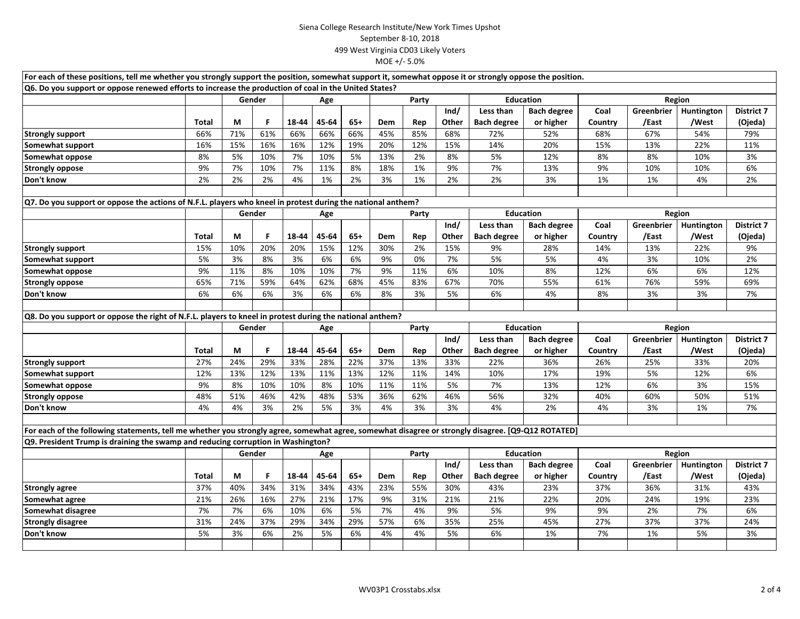| For each of these positions, tell me whether you strongly support the position, somewhat support it, somewhat oppose it or strongly oppose the position. |              |               |        |       |       |       |       |       |                  |                    |                    |         |            |            |                   |
|----------------------------------------------------------------------------------------------------------------------------------------------------------|--------------|---------------|--------|-------|-------|-------|-------|-------|------------------|--------------------|--------------------|---------|------------|------------|-------------------|
| Q6. Do you support or oppose renewed efforts to increase the production of coal in the United States?                                                    |              |               |        |       |       |       |       |       |                  |                    |                    |         |            |            |                   |
|                                                                                                                                                          |              |               | Gender | Age   |       |       | Party |       |                  | <b>Education</b>   |                    | Region  |            |            |                   |
|                                                                                                                                                          |              |               |        |       |       |       |       | Ind/  |                  | Less than          | <b>Bach degree</b> | Coal    | Greenbrier | Huntington | <b>District 7</b> |
|                                                                                                                                                          | <b>Total</b> | M             | F.     | 18-44 | 45-64 | $65+$ | Dem   | Rep   | Other            | <b>Bach degree</b> | or higher          | Country | /East      | /West      | (Ojeda)           |
| <b>Strongly support</b>                                                                                                                                  | 66%          | 71%           | 61%    | 66%   | 66%   | 66%   | 45%   | 85%   | 68%              | 72%                | 52%                | 68%     | 67%        | 54%        | 79%               |
| Somewhat support                                                                                                                                         | 16%          | 15%           | 16%    | 16%   | 12%   | 19%   | 20%   | 12%   | 15%              | 14%                | 20%                | 15%     | 13%        | 22%        | 11%               |
| Somewhat oppose                                                                                                                                          | 8%           | 5%            | 10%    | 7%    | 10%   | 5%    | 13%   | 2%    | 8%               | 5%                 | 12%                | 8%      | 8%         | 10%        | 3%                |
| <b>Strongly oppose</b>                                                                                                                                   | 9%           | 7%            | 10%    | 7%    | 11%   | 8%    | 18%   | 1%    | 9%               | 7%                 | 13%                | 9%      | 10%        | 10%        | 6%                |
| Don't know                                                                                                                                               | 2%           | 2%            | 2%     | 4%    | 1%    | 2%    | 3%    | 1%    | 2%               | 2%                 | 3%                 | 1%      | 1%         | 4%         | 2%                |
|                                                                                                                                                          |              |               |        |       |       |       |       |       |                  |                    |                    |         |            |            |                   |
| Q7. Do you support or oppose the actions of N.F.L. players who kneel in protest during the national anthem?                                              |              |               |        |       |       |       |       |       |                  |                    |                    |         |            |            |                   |
|                                                                                                                                                          |              |               | Gender | Age   |       |       | Party |       |                  | <b>Education</b>   |                    | Region  |            |            |                   |
|                                                                                                                                                          |              |               |        |       |       |       |       |       | Ind/             | Less than          | <b>Bach degree</b> | Coal    | Greenbrier | Huntington | <b>District 7</b> |
|                                                                                                                                                          | Total        | M             | F.     | 18-44 | 45-64 | $65+$ | Dem   | Rep   | Other            | <b>Bach degree</b> | or higher          | Country | /East      | /West      | (Ojeda)           |
| <b>Strongly support</b>                                                                                                                                  | 15%          | 10%           | 20%    | 20%   | 15%   | 12%   | 30%   | 2%    | 15%              | 9%                 | 28%                | 14%     | 13%        | 22%        | 9%                |
| Somewhat support                                                                                                                                         | 5%           | 3%            | 8%     | 3%    | 6%    | 6%    | 9%    | 0%    | 7%               | 5%                 | 5%                 | 4%      | 3%         | 10%        | 2%                |
| Somewhat oppose                                                                                                                                          | 9%           | 11%           | 8%     | 10%   | 10%   | 7%    | 9%    | 11%   | 6%               | 10%                | 8%                 | 12%     | 6%         | 6%         | 12%               |
| <b>Strongly oppose</b>                                                                                                                                   | 65%          | 71%           | 59%    | 64%   | 62%   | 68%   | 45%   | 83%   | 67%              | 70%                | 55%                | 61%     | 76%        | 59%        | 69%               |
| Don't know                                                                                                                                               | 6%           | 6%            | 6%     | 3%    | 6%    | 6%    | 8%    | 3%    | 5%               | 6%                 | 4%                 | 8%      | 3%         | 3%         | 7%                |
|                                                                                                                                                          |              |               |        |       |       |       |       |       |                  |                    |                    |         |            |            |                   |
| Q8. Do you support or oppose the right of N.F.L. players to kneel in protest during the national anthem?                                                 |              |               |        |       |       |       |       |       |                  |                    |                    |         |            |            |                   |
|                                                                                                                                                          |              | Gender<br>Age |        |       | Party |       |       |       | <b>Education</b> | Region             |                    |         |            |            |                   |
|                                                                                                                                                          |              |               |        |       |       |       |       |       | Ind/             | Less than          | <b>Bach degree</b> | Coal    | Greenbrier | Huntington | <b>District 7</b> |
|                                                                                                                                                          | Total        | M             | F      | 18-44 | 45-64 | $65+$ | Dem   | Rep   | Other            | <b>Bach degree</b> | or higher          | Country | /East      | /West      | (Ojeda)           |
| <b>Strongly support</b>                                                                                                                                  | 27%          | 24%           | 29%    | 33%   | 28%   | 22%   | 37%   | 13%   | 33%              | 22%                | 36%                | 26%     | 25%        | 33%        | 20%               |
| Somewhat support                                                                                                                                         | 12%          | 13%           | 12%    | 13%   | 11%   | 13%   | 12%   | 11%   | 14%              | 10%                | 17%                | 19%     | 5%         | 12%        | 6%                |
| Somewhat oppose                                                                                                                                          | 9%           | 8%            | 10%    | 10%   | 8%    | 10%   | 11%   | 11%   | 5%               | 7%                 | 13%                | 12%     | 6%         | 3%         | 15%               |
| <b>Strongly oppose</b>                                                                                                                                   | 48%          | 51%           | 46%    | 42%   | 48%   | 53%   | 36%   | 62%   | 46%              | 56%                | 32%                | 40%     | 60%        | 50%        | 51%               |
| Don't know                                                                                                                                               | 4%           | 4%            | 3%     | 2%    | 5%    | 3%    | 4%    | 3%    | 3%               | 4%                 | 2%                 | 4%      | 3%         | 1%         | 7%                |
|                                                                                                                                                          |              |               |        |       |       |       |       |       |                  |                    |                    |         |            |            |                   |
| For each of the following statements, tell me whether you strongly agree, somewhat agree, somewhat disagree or strongly disagree. [Q9-Q12 ROTATED]       |              |               |        |       |       |       |       |       |                  |                    |                    |         |            |            |                   |
| Q9. President Trump is draining the swamp and reducing corruption in Washington?                                                                         |              |               |        |       |       |       |       |       |                  |                    |                    |         |            |            |                   |
|                                                                                                                                                          |              |               | Gender |       | Age   |       |       | Party |                  | <b>Education</b>   |                    | Region  |            |            |                   |
|                                                                                                                                                          |              |               |        |       |       |       |       |       | Ind/             | Less than          | <b>Bach degree</b> | Coal    | Greenbrier | Huntington | <b>District 7</b> |
|                                                                                                                                                          | Total        | М             | F      | 18-44 | 45-64 | $65+$ | Dem   | Rep   | Other            | <b>Bach degree</b> | or higher          | Country | /East      | /West      | (Ojeda)           |
| <b>Strongly agree</b>                                                                                                                                    | 37%          | 40%           | 34%    | 31%   | 34%   | 43%   | 23%   | 55%   | 30%              | 43%                | 23%                | 37%     | 36%        | 31%        | 43%               |
| Somewhat agree                                                                                                                                           | 21%          | 26%           | 16%    | 27%   | 21%   | 17%   | 9%    | 31%   | 21%              | 21%                | 22%                | 20%     | 24%        | 19%        | 23%               |
| Somewhat disagree                                                                                                                                        | 7%           | 7%            | 6%     | 10%   | 6%    | 5%    | 7%    | 4%    | 9%               | 5%                 | 9%                 | 9%      | 2%         | 7%         | 6%                |
| <b>Strongly disagree</b>                                                                                                                                 | 31%          | 24%           | 37%    | 29%   | 34%   | 29%   | 57%   | 6%    | 35%              | 25%                | 45%                | 27%     | 37%        | 37%        | 24%               |
| Don't know                                                                                                                                               | 5%           | 3%            | 6%     | 2%    | 5%    | 6%    | 4%    | 4%    | 5%               | 6%                 | 1%                 | 7%      | 1%         | 5%         | 3%                |
|                                                                                                                                                          |              |               |        |       |       |       |       |       |                  |                    |                    |         |            |            |                   |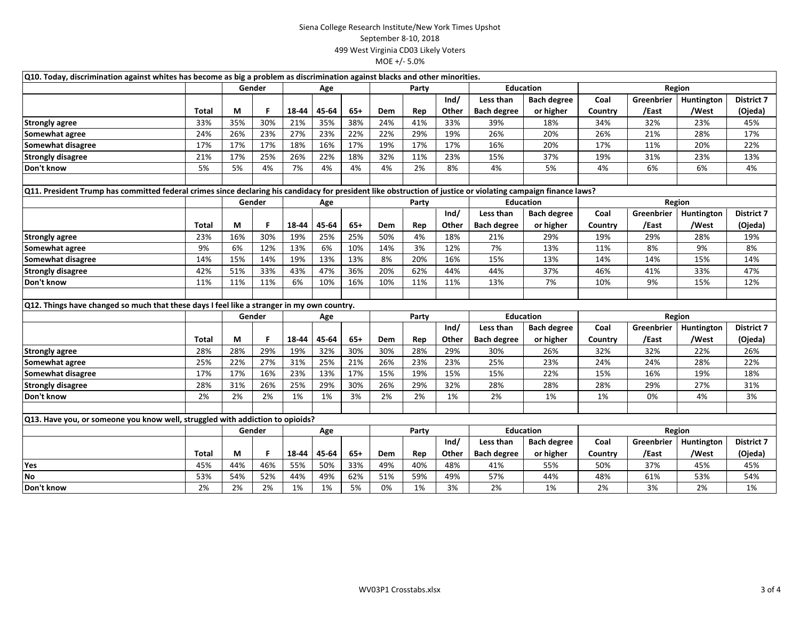| Q10. Today, discrimination against whites has become as big a problem as discrimination against blacks and other minorities.                                  |       |        |               |       |       |       |       |                  |                  |                    |                    |         |            |            |                   |
|---------------------------------------------------------------------------------------------------------------------------------------------------------------|-------|--------|---------------|-------|-------|-------|-------|------------------|------------------|--------------------|--------------------|---------|------------|------------|-------------------|
|                                                                                                                                                               |       | Gender |               | Age   |       | Party |       | <b>Education</b> |                  | Region             |                    |         |            |            |                   |
|                                                                                                                                                               |       |        |               |       |       |       |       |                  | Ind/             | Less than          | <b>Bach degree</b> | Coal    | Greenbrier | Huntington | <b>District 7</b> |
|                                                                                                                                                               | Total | М      | F             | 18-44 | 45-64 | 65+   | Dem   | Rep              | Other            | <b>Bach degree</b> | or higher          | Country | /East      | /West      | (Ojeda)           |
| <b>Strongly agree</b>                                                                                                                                         | 33%   | 35%    | 30%           | 21%   | 35%   | 38%   | 24%   | 41%              | 33%              | 39%                | 18%                | 34%     | 32%        | 23%        | 45%               |
| Somewhat agree                                                                                                                                                | 24%   | 26%    | 23%           | 27%   | 23%   | 22%   | 22%   | 29%              | 19%              | 26%                | 20%                | 26%     | 21%        | 28%        | 17%               |
| Somewhat disagree                                                                                                                                             | 17%   | 17%    | 17%           | 18%   | 16%   | 17%   | 19%   | 17%              | 17%              | 16%                | 20%                | 17%     | 11%        | 20%        | 22%               |
| <b>Strongly disagree</b>                                                                                                                                      | 21%   | 17%    | 25%           | 26%   | 22%   | 18%   | 32%   | 11%              | 23%              | 15%                | 37%                | 19%     | 31%        | 23%        | 13%               |
| Don't know                                                                                                                                                    | 5%    | 5%     | 4%            | 7%    | 4%    | 4%    | 4%    | 2%               | 8%               | 4%                 | 5%                 | 4%      | 6%         | 6%         | 4%                |
|                                                                                                                                                               |       |        |               |       |       |       |       |                  |                  |                    |                    |         |            |            |                   |
| Q11. President Trump has committed federal crimes since declaring his candidacy for president like obstruction of justice or violating campaign finance laws? |       |        |               |       |       |       |       |                  |                  |                    |                    |         |            |            |                   |
|                                                                                                                                                               |       |        | Gender<br>Age |       |       | Party |       |                  | <b>Education</b> |                    | Region             |         |            |            |                   |
|                                                                                                                                                               |       |        |               |       |       |       |       |                  | Ind/             | Less than          | <b>Bach degree</b> | Coal    | Greenbrier | Huntington | District 7        |
|                                                                                                                                                               | Total | М      | F             | 18-44 | 45-64 | $65+$ | Dem   | Rep              | Other            | <b>Bach degree</b> | or higher          | Country | /East      | /West      | (Ojeda)           |
| <b>Strongly agree</b>                                                                                                                                         | 23%   | 16%    | 30%           | 19%   | 25%   | 25%   | 50%   | 4%               | 18%              | 21%                | 29%                | 19%     | 29%        | 28%        | 19%               |
| Somewhat agree                                                                                                                                                | 9%    | 6%     | 12%           | 13%   | 6%    | 10%   | 14%   | 3%               | 12%              | 7%                 | 13%                | 11%     | 8%         | 9%         | 8%                |
| Somewhat disagree                                                                                                                                             | 14%   | 15%    | 14%           | 19%   | 13%   | 13%   | 8%    | 20%              | 16%              | 15%                | 13%                | 14%     | 14%        | 15%        | 14%               |
| <b>Strongly disagree</b>                                                                                                                                      | 42%   | 51%    | 33%           | 43%   | 47%   | 36%   | 20%   | 62%              | 44%              | 44%                | 37%                | 46%     | 41%        | 33%        | 47%               |
| Don't know                                                                                                                                                    | 11%   | 11%    | 11%           | 6%    | 10%   | 16%   | 10%   | 11%              | 11%              | 13%                | 7%                 | 10%     | 9%         | 15%        | 12%               |
|                                                                                                                                                               |       |        |               |       |       |       |       |                  |                  |                    |                    |         |            |            |                   |
| Q12. Things have changed so much that these days I feel like a stranger in my own country.                                                                    |       |        |               |       |       |       |       |                  |                  |                    |                    |         |            |            |                   |
|                                                                                                                                                               |       |        | Gender        |       | Age   |       |       | Party            |                  | Education          |                    | Region  |            |            |                   |
|                                                                                                                                                               |       |        |               |       |       |       |       |                  | Ind/             | Less than          | <b>Bach degree</b> | Coal    | Greenbrier | Huntington | <b>District 7</b> |
|                                                                                                                                                               | Total | М      | F             | 18-44 | 45-64 | $65+$ | Dem   | Rep              | Other            | <b>Bach degree</b> | or higher          | Country | /East      | /West      | (Ojeda)           |
| <b>Strongly agree</b>                                                                                                                                         | 28%   | 28%    | 29%           | 19%   | 32%   | 30%   | 30%   | 28%              | 29%              | 30%                | 26%                | 32%     | 32%        | 22%        | 26%               |
| Somewhat agree                                                                                                                                                | 25%   | 22%    | 27%           | 31%   | 25%   | 21%   | 26%   | 23%              | 23%              | 25%                | 23%                | 24%     | 24%        | 28%        | 22%               |
| Somewhat disagree                                                                                                                                             | 17%   | 17%    | 16%           | 23%   | 13%   | 17%   | 15%   | 19%              | 15%              | 15%                | 22%                | 15%     | 16%        | 19%        | 18%               |
| <b>Strongly disagree</b>                                                                                                                                      | 28%   | 31%    | 26%           | 25%   | 29%   | 30%   | 26%   | 29%              | 32%              | 28%                | 28%                | 28%     | 29%        | 27%        | 31%               |
| Don't know                                                                                                                                                    | 2%    | 2%     | 2%            | 1%    | 1%    | 3%    | 2%    | 2%               | 1%               | 2%                 | 1%                 | 1%      | 0%         | 4%         | 3%                |
|                                                                                                                                                               |       |        |               |       |       |       |       |                  |                  |                    |                    |         |            |            |                   |
| Q13. Have you, or someone you know well, struggled with addiction to opioids?                                                                                 |       |        |               |       |       |       |       |                  |                  |                    |                    |         |            |            |                   |
|                                                                                                                                                               |       |        | Gender        |       | Age   |       | Party |                  |                  | <b>Education</b>   |                    | Region  |            |            |                   |
|                                                                                                                                                               |       |        |               |       |       |       |       |                  | Ind/             | Less than          | <b>Bach degree</b> | Coal    | Greenbrier | Huntington | <b>District 7</b> |
|                                                                                                                                                               | Total | М      | F             | 18-44 | 45-64 | 65+   | Dem   | Rep              | Other            | <b>Bach degree</b> | or higher          | Country | /East      | /West      | (Ojeda)           |
| Yes                                                                                                                                                           | 45%   | 44%    | 46%           | 55%   | 50%   | 33%   | 49%   | 40%              | 48%              | 41%                | 55%                | 50%     | 37%        | 45%        | 45%               |
| <b>No</b>                                                                                                                                                     | 53%   | 54%    | 52%           | 44%   | 49%   | 62%   | 51%   | 59%              | 49%              | 57%                | 44%                | 48%     | 61%        | 53%        | 54%               |
| Don't know                                                                                                                                                    | 2%    | 2%     | 2%            | 1%    | 1%    | 5%    | 0%    | 1%               | 3%               | 2%                 | 1%                 | 2%      | 3%         | 2%         | 1%                |